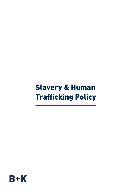# Slavery & Human Trafficking Policy

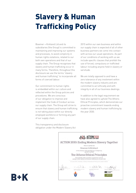# Slavery & Human Trafficking Policy

Bowmer + Kirkland Ltd and its subsidiaries (the Group) is committed to maintaining and improving our systems and processes, to avoid complicity in human rights violations, related to our both own operations and that of our supply chain. The Group recognises that slavery and human trafficking occur in many forms. Therefore, throughout this disclosure we use the terms "slavery and human trafficking" to incorporate all forms of coerced labour.

Our commitment to human rights is embedded within our culture and reflected within the Group policies and procedures. We are conscious of our obligation to improve and implement the Code of Conduct across our supply chain. The Group will strive to ensure that slavery and human trafficking is not taking place within our directly employed workforce or forming any part of our supply chain.

This transparency and disclosure obligation under the Modern Slavery Act 2015 within our own business and within our supply chain is expected of all of other business partners we come into contact with across our usual operations. As part of our conditions of working with us we include specific clauses that prohibit the use of forced, compulsory or trafficked labour including anyone held in slavery or servitude.

We are totally opposed to and have a zero tolerance of any involvment within the modern slavery industry and are committed to act ethically and with integrity in all of our business dealings.

In addition to the legal requirement we have also agreed to uphold The Athens Ethical Principles, which demonstrate our proactive commitment towards ending modern slavery and human trafficking by the year 2030.



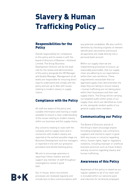# Slavery & Human **Trafficking Policy (cont)**

### Responsibilities for the **Policy**

Overall responsibility for compliance to this policy and its review is with the board of directors of Bowmer + Kirkland Limited. The Group Business Development Director will be the lead role for the review and administration of this policy alongside the HR Manager and Quality Manager. Management at all levels are responsible for ensuring direct reports understand and comply with the policy and are up to date with issues relating to modern slavery in supply chains.

## Compliance with the Policy

All staff are aware of the policy and suitable information and training is made available to ensure a clear understanding of the issues relating to modern slavery within our business and the supply chains.

Any concerns relating to isses with the company and its supply chain and in connection with modern slavery are reported at the earliest possible stage via Business Development and line managers or reported in line with our grievance procedure and whistle blowing policy.

We aim to encourage openness in reporting if these matters and will support any member of staff throughout investigations raised in good faith.

Our in-house, direct recruitment processes are reviewed regularly and include face to face communications with any potential candidates. We also confirm identities by checking originals of relevant identification documents and ensure all payments are made directly into a personal bank account.

Within our supply chain we are implementing processes to ensure, as reasonably practicable, that our supply chain are adhering to our expectations within their own workforce. These requirements necessitate that our approved supply chain demonstrates the steps they are taking to ensure slavery + human trafficking are not taking place within their businesses and their own supply chains. The Group will be carrying out targeted audits within areas of our supply chain which are identified as most at risk, alongside random audits of our general supply chain members.

### Communicating our Policy

The Board of Directors and all of the Group's team encourage anyone (including employees, sub-contractors, suppliers and clients) to report in good faith any issues or concerns regarding ethics, human rights, legal or regulatory violations, including improper or unethical business practices such as fraud, bribery and any concerns regarding slavery and human trafficking.

## Awareness of this Policy

Awareness of this policy is raised via our regular updates to all of our team and is included within our welcome pack and induction for all directly employed